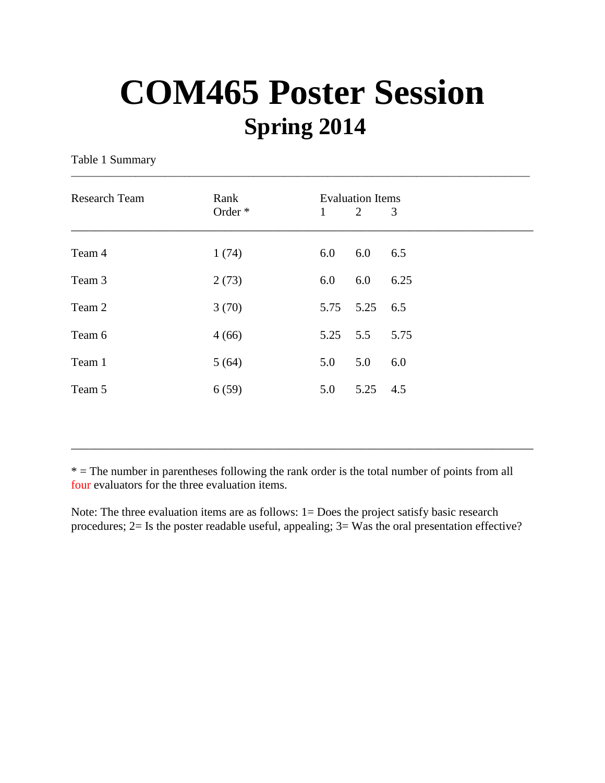## **COM465 Poster Session Spring 2014**

\_\_\_\_\_\_\_\_\_\_\_\_\_\_\_\_\_\_\_\_\_\_\_\_\_\_\_\_\_\_\_\_\_\_\_\_\_\_\_\_\_\_\_\_\_\_\_\_\_\_\_\_\_\_\_\_\_\_\_\_\_\_\_\_\_\_\_\_\_\_\_\_\_\_\_\_\_\_\_\_\_\_\_\_\_\_\_\_\_\_\_\_\_

Table 1 Summary

| <b>Research Team</b> | Rank    | <b>Evaluation Items</b> |      |      |
|----------------------|---------|-------------------------|------|------|
|                      | Order * | 1                       | 2    | 3    |
| Team 4               | 1(74)   | 6.0                     | 6.0  | 6.5  |
| Team 3               | 2(73)   | 6.0                     | 6.0  | 6.25 |
| Team 2               | 3(70)   | 5.75                    | 5.25 | 6.5  |
| Team 6               | 4(66)   | 5.25                    | 5.5  | 5.75 |
| Team 1               | 5(64)   | 5.0                     | 5.0  | 6.0  |
| Team 5               | 6(59)   | 5.0                     | 5.25 | 4.5  |
|                      |         |                         |      |      |

\* = The number in parentheses following the rank order is the total number of points from all four evaluators for the three evaluation items.

\_\_\_\_\_\_\_\_\_\_\_\_\_\_\_\_\_\_\_\_\_\_\_\_\_\_\_\_\_\_\_\_\_\_\_\_\_\_\_\_\_\_\_\_\_\_\_\_\_\_\_\_\_\_\_\_\_\_\_\_\_\_\_\_\_\_\_\_\_\_\_\_\_\_\_\_\_\_

Note: The three evaluation items are as follows: 1= Does the project satisfy basic research procedures; 2= Is the poster readable useful, appealing; 3= Was the oral presentation effective?